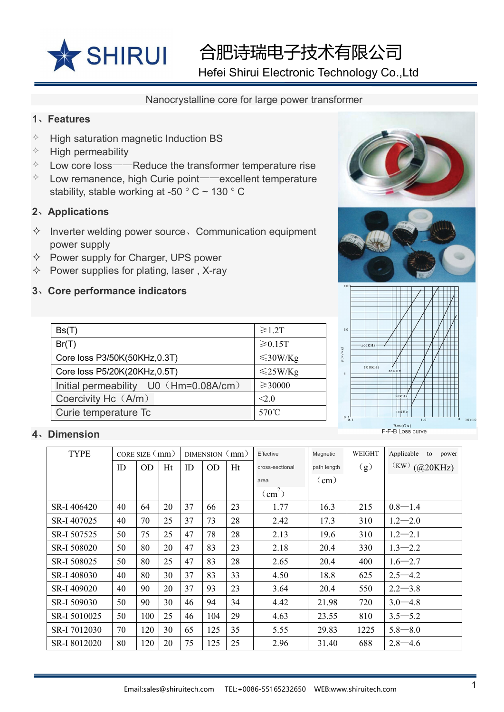

合肥诗瑞电子技术有限公司

Hefei Shirui Electronic Technology Co.,Ltd

#### Nanocrystalline core for large power transformer

### **1**、**Features**

- $\Diamond$  High saturation magnetic Induction BS
- $\Diamond$  High permeability
- $\Diamond$  Low core loss——Reduce the transformer temperature rise
- $\Diamond$  Low remanence, high Curie point——excellent temperature stability, stable working at -50 ° C ~ 130 ° C

# **2**、**Applications**

- $\Diamond$  Inverter welding power source, Communication equipment power supply
- $\Diamond$  Power supply for Charger, UPS power
- $\Diamond$  Power supplies for plating, laser, X-ray

### **3**、**Core performance indicators**

| Bs(T)                                 | $\geq 1.2T$   |  |  |
|---------------------------------------|---------------|--|--|
| Br(T)                                 | $\geq 0.15T$  |  |  |
| Core loss P3/50K(50KHz,0.3T)          | $\leq$ 30W/Kg |  |  |
| Core loss P5/20K(20KHz,0.5T)          | $\leq$ 25W/Kg |  |  |
| Initial permeability U0 (Hm=0.08A/cm) | $≥$ 30000     |  |  |
| Coercivity Hc (A/m)                   | <2.0          |  |  |
| Curie temperature Tc                  | 570°C         |  |  |







## **4**、**Dimension**

| <b>TYPE</b>  | CORE SIZE $\text{mm}$ ) |           |    | DIMENSION (mm) |           |    | Effective       | Magnetic      | WEIGHT | Applicable<br>to<br>power |
|--------------|-------------------------|-----------|----|----------------|-----------|----|-----------------|---------------|--------|---------------------------|
|              | ID                      | <b>OD</b> | Ht | ID             | <b>OD</b> | Ht | cross-sectional | path length   | (g)    | $(KW)$ (@20KHz)           |
|              |                         |           |    |                |           |    | area            | $\text{(cm)}$ |        |                           |
|              |                         |           |    |                |           |    | $\text{(cm}^2)$ |               |        |                           |
| SR-I 406420  | 40                      | 64        | 20 | 37             | 66        | 23 | 1.77            | 16.3          | 215    | $0.8 - 1.4$               |
| SR-I 407025  | 40                      | 70        | 25 | 37             | 73        | 28 | 2.42            | 17.3          | 310    | $1.2 - 2.0$               |
| SR-I 507525  | 50                      | 75        | 25 | 47             | 78        | 28 | 2.13            | 19.6          | 310    | $1.2 - 2.1$               |
| SR-I 508020  | 50                      | 80        | 20 | 47             | 83        | 23 | 2.18            | 20.4          | 330    | $1.3 - 2.2$               |
| SR-I 508025  | 50                      | 80        | 25 | 47             | 83        | 28 | 2.65            | 20.4          | 400    | $1.6 - 2.7$               |
| SR-I 408030  | 40                      | 80        | 30 | 37             | 83        | 33 | 4.50            | 18.8          | 625    | $2.5 - 4.2$               |
| SR-I 409020  | 40                      | 90        | 20 | 37             | 93        | 23 | 3.64            | 20.4          | 550    | $2.2 - 3.8$               |
| SR-I 509030  | 50                      | 90        | 30 | 46             | 94        | 34 | 4.42            | 21.98         | 720    | $3.0 - 4.8$               |
| SR-I 5010025 | 50                      | 100       | 25 | 46             | 104       | 29 | 4.63            | 23.55         | 810    | $3.5 - 5.2$               |
| SR-I 7012030 | 70                      | 120       | 30 | 65             | 125       | 35 | 5.55            | 29.83         | 1225   | $5.8 - 8.0$               |
| SR-I 8012020 | 80                      | 120       | 20 | 75             | 125       | 25 | 2.96            | 31.40         | 688    | $2.8 - 4.6$               |